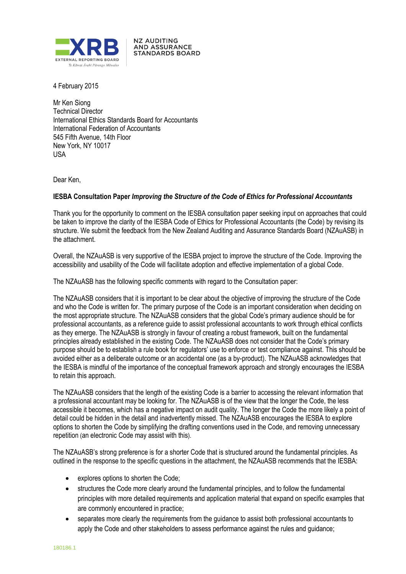

**NZ AUDITING AND ASSURANCE STANDARDS BOARD** 

4 February 2015

Mr Ken Siong Technical Director International Ethics Standards Board for Accountants International Federation of Accountants 545 Fifth Avenue, 14th Floor New York, NY 10017 USA

Dear Ken,

## **IESBA Consultation Paper** *Improving the Structure of the Code of Ethics for Professional Accountants*

Thank you for the opportunity to comment on the IESBA consultation paper seeking input on approaches that could be taken to improve the clarity of the IESBA Code of Ethics for Professional Accountants (the Code) by revising its structure. We submit the feedback from the New Zealand Auditing and Assurance Standards Board (NZAuASB) in the attachment.

Overall, the NZAuASB is very supportive of the IESBA project to improve the structure of the Code. Improving the accessibility and usability of the Code will facilitate adoption and effective implementation of a global Code.

The NZAuASB has the following specific comments with regard to the Consultation paper:

The NZAuASB considers that it is important to be clear about the objective of improving the structure of the Code and who the Code is written for. The primary purpose of the Code is an important consideration when deciding on the most appropriate structure. The NZAuASB considers that the global Code's primary audience should be for professional accountants, as a reference guide to assist professional accountants to work through ethical conflicts as they emerge. The NZAuASB is strongly in favour of creating a robust framework, built on the fundamental principles already established in the existing Code. The NZAuASB does not consider that the Code's primary purpose should be to establish a rule book for regulators' use to enforce or test compliance against. This should be avoided either as a deliberate outcome or an accidental one (as a by-product). The NZAuASB acknowledges that the IESBA is mindful of the importance of the conceptual framework approach and strongly encourages the IESBA to retain this approach.

The NZAuASB considers that the length of the existing Code is a barrier to accessing the relevant information that a professional accountant may be looking for. The NZAuASB is of the view that the longer the Code, the less accessible it becomes, which has a negative impact on audit quality. The longer the Code the more likely a point of detail could be hidden in the detail and inadvertently missed. The NZAuASB encourages the IESBA to explore options to shorten the Code by simplifying the drafting conventions used in the Code, and removing unnecessary repetition (an electronic Code may assist with this).

The NZAuASB's strong preference is for a shorter Code that is structured around the fundamental principles. As outlined in the response to the specific questions in the attachment, the NZAuASB recommends that the IESBA:

- explores options to shorten the Code;
- structures the Code more clearly around the fundamental principles, and to follow the fundamental principles with more detailed requirements and application material that expand on specific examples that are commonly encountered in practice;
- separates more clearly the requirements from the guidance to assist both professional accountants to apply the Code and other stakeholders to assess performance against the rules and guidance;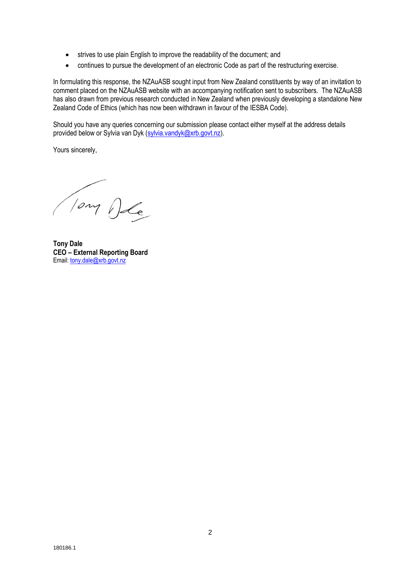- strives to use plain English to improve the readability of the document; and
- continues to pursue the development of an electronic Code as part of the restructuring exercise.

In formulating this response, the NZAuASB sought input from New Zealand constituents by way of an invitation to comment placed on the NZAuASB website with an accompanying notification sent to subscribers. The NZAuASB has also drawn from previous research conducted in New Zealand when previously developing a standalone New Zealand Code of Ethics (which has now been withdrawn in favour of the IESBA Code).

Should you have any queries concerning our submission please contact either myself at the address details provided below or Sylvia van Dyk (sylvia.vandyk@xrb.govt.nz).

Yours sincerely,

Tony De

**Tony Dale CEO – External Reporting Board** Email: tony.dale@xrb.govt.nz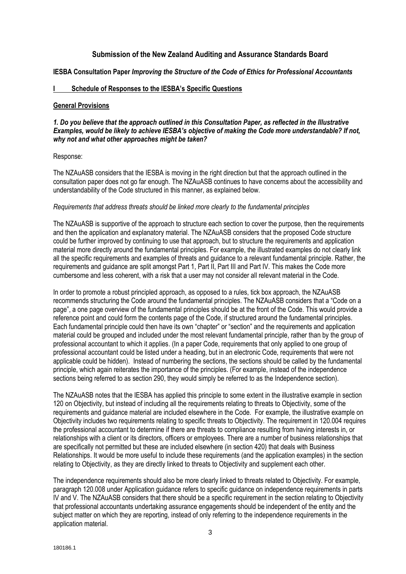# **Submission of the New Zealand Auditing and Assurance Standards Board**

**IESBA Consultation Paper** *Improving the Structure of the Code of Ethics for Professional Accountants*

## **I Schedule of Responses to the IESBA's Specific Questions**

#### **General Provisions**

### *1. Do you believe that the approach outlined in this Consultation Paper, as reflected in the Illustrative Examples, would be likely to achieve IESBA's objective of making the Code more understandable? If not, why not and what other approaches might be taken?*

### Response:

The NZAuASB considers that the IESBA is moving in the right direction but that the approach outlined in the consultation paper does not go far enough. The NZAuASB continues to have concerns about the accessibility and understandability of the Code structured in this manner, as explained below.

#### *Requirements that address threats should be linked more clearly to the fundamental principles*

The NZAuASB is supportive of the approach to structure each section to cover the purpose, then the requirements and then the application and explanatory material. The NZAuASB considers that the proposed Code structure could be further improved by continuing to use that approach, but to structure the requirements and application material more directly around the fundamental principles. For example, the illustrated examples do not clearly link all the specific requirements and examples of threats and guidance to a relevant fundamental principle. Rather, the requirements and guidance are split amongst Part 1, Part II, Part III and Part IV. This makes the Code more cumbersome and less coherent, with a risk that a user may not consider all relevant material in the Code.

In order to promote a robust principled approach, as opposed to a rules, tick box approach, the NZAuASB recommends structuring the Code around the fundamental principles. The NZAuASB considers that a "Code on a page", a one page overview of the fundamental principles should be at the front of the Code. This would provide a reference point and could form the contents page of the Code, if structured around the fundamental principles. Each fundamental principle could then have its own "chapter" or "section" and the requirements and application material could be grouped and included under the most relevant fundamental principle, rather than by the group of professional accountant to which it applies. (In a paper Code, requirements that only applied to one group of professional accountant could be listed under a heading, but in an electronic Code, requirements that were not applicable could be hidden). Instead of numbering the sections, the sections should be called by the fundamental principle, which again reiterates the importance of the principles. (For example, instead of the independence sections being referred to as section 290, they would simply be referred to as the Independence section).

The NZAuASB notes that the IESBA has applied this principle to some extent in the illustrative example in section 120 on Objectivity, but instead of including all the requirements relating to threats to Objectivity, some of the requirements and guidance material are included elsewhere in the Code. For example, the illustrative example on Objectivity includes two requirements relating to specific threats to Objectivity. The requirement in 120.004 requires the professional accountant to determine if there are threats to compliance resulting from having interests in, or relationships with a client or its directors, officers or employees. There are a number of business relationships that are specifically not permitted but these are included elsewhere (in section 420) that deals with Business Relationships. It would be more useful to include these requirements (and the application examples) in the section relating to Objectivity, as they are directly linked to threats to Objectivity and supplement each other.

The independence requirements should also be more clearly linked to threats related to Objectivity. For example, paragraph 120.008 under Application guidance refers to specific guidance on independence requirements in parts IV and V. The NZAuASB considers that there should be a specific requirement in the section relating to Objectivity that professional accountants undertaking assurance engagements should be independent of the entity and the subject matter on which they are reporting, instead of only referring to the independence requirements in the application material.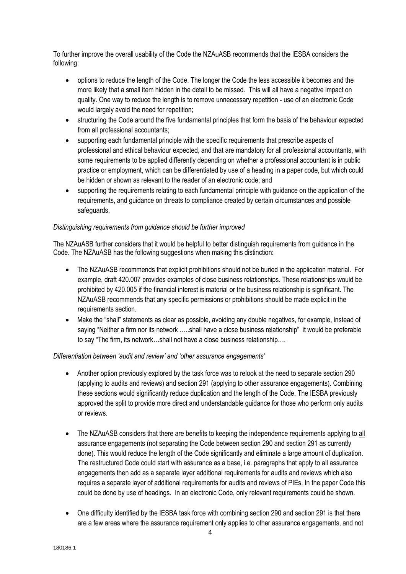To further improve the overall usability of the Code the NZAuASB recommends that the IESBA considers the following:

- options to reduce the length of the Code. The longer the Code the less accessible it becomes and the more likely that a small item hidden in the detail to be missed. This will all have a negative impact on quality. One way to reduce the length is to remove unnecessary repetition - use of an electronic Code would largely avoid the need for repetition;
- structuring the Code around the five fundamental principles that form the basis of the behaviour expected from all professional accountants;
- supporting each fundamental principle with the specific requirements that prescribe aspects of professional and ethical behaviour expected, and that are mandatory for all professional accountants, with some requirements to be applied differently depending on whether a professional accountant is in public practice or employment, which can be differentiated by use of a heading in a paper code, but which could be hidden or shown as relevant to the reader of an electronic code; and
- supporting the requirements relating to each fundamental principle with guidance on the application of the requirements, and guidance on threats to compliance created by certain circumstances and possible safeguards.

# *Distinguishing requirements from guidance should be further improved*

The NZAuASB further considers that it would be helpful to better distinguish requirements from guidance in the Code. The NZAuASB has the following suggestions when making this distinction:

- The NZAuASB recommends that explicit prohibitions should not be buried in the application material. For example, draft 420.007 provides examples of close business relationships. These relationships would be prohibited by 420.005 if the financial interest is material or the business relationship is significant. The NZAuASB recommends that any specific permissions or prohibitions should be made explicit in the requirements section.
- Make the "shall" statements as clear as possible, avoiding any double negatives, for example, instead of saying "Neither a firm nor its network …..shall have a close business relationship" it would be preferable to say "The firm, its network…shall not have a close business relationship….

### *Differentiation between 'audit and review' and 'other assurance engagements'*

- Another option previously explored by the task force was to relook at the need to separate section 290 (applying to audits and reviews) and section 291 (applying to other assurance engagements). Combining these sections would significantly reduce duplication and the length of the Code. The IESBA previously approved the split to provide more direct and understandable guidance for those who perform only audits or reviews.
- The NZAuASB considers that there are benefits to keeping the independence requirements applying to all assurance engagements (not separating the Code between section 290 and section 291 as currently done). This would reduce the length of the Code significantly and eliminate a large amount of duplication. The restructured Code could start with assurance as a base, i.e. paragraphs that apply to all assurance engagements then add as a separate layer additional requirements for audits and reviews which also requires a separate layer of additional requirements for audits and reviews of PIEs. In the paper Code this could be done by use of headings. In an electronic Code, only relevant requirements could be shown.
- One difficulty identified by the IESBA task force with combining section 290 and section 291 is that there are a few areas where the assurance requirement only applies to other assurance engagements, and not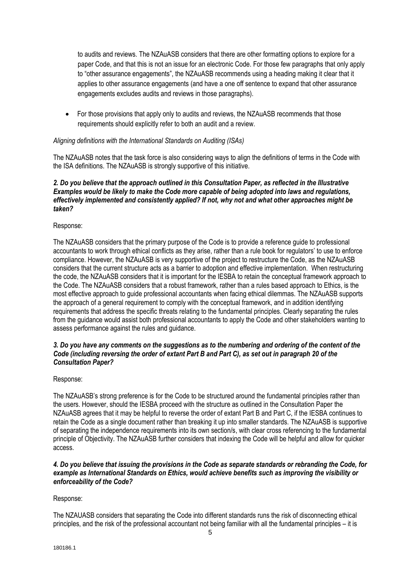to audits and reviews. The NZAuASB considers that there are other formatting options to explore for a paper Code, and that this is not an issue for an electronic Code. For those few paragraphs that only apply to "other assurance engagements", the NZAuASB recommends using a heading making it clear that it applies to other assurance engagements (and have a one off sentence to expand that other assurance engagements excludes audits and reviews in those paragraphs).

• For those provisions that apply only to audits and reviews, the NZAuASB recommends that those requirements should explicitly refer to both an audit and a review.

### *Aligning definitions with the International Standards on Auditing (ISAs)*

The NZAuASB notes that the task force is also considering ways to align the definitions of terms in the Code with the ISA definitions. The NZAuASB is strongly supportive of this initiative.

### *2. Do you believe that the approach outlined in this Consultation Paper, as reflected in the Illustrative Examples would be likely to make the Code more capable of being adopted into laws and regulations, effectively implemented and consistently applied? If not, why not and what other approaches might be taken?*

### Response:

The NZAuASB considers that the primary purpose of the Code is to provide a reference guide to professional accountants to work through ethical conflicts as they arise, rather than a rule book for regulators' to use to enforce compliance. However, the NZAuASB is very supportive of the project to restructure the Code, as the NZAuASB considers that the current structure acts as a barrier to adoption and effective implementation. When restructuring the code, the NZAuASB considers that it is important for the IESBA to retain the conceptual framework approach to the Code. The NZAuASB considers that a robust framework, rather than a rules based approach to Ethics, is the most effective approach to guide professional accountants when facing ethical dilemmas. The NZAuASB supports the approach of a general requirement to comply with the conceptual framework, and in addition identifying requirements that address the specific threats relating to the fundamental principles. Clearly separating the rules from the guidance would assist both professional accountants to apply the Code and other stakeholders wanting to assess performance against the rules and guidance.

### *3. Do you have any comments on the suggestions as to the numbering and ordering of the content of the Code (including reversing the order of extant Part B and Part C), as set out in paragraph 20 of the Consultation Paper?*

### Response:

The NZAuASB's strong preference is for the Code to be structured around the fundamental principles rather than the users. However, should the IESBA proceed with the structure as outlined in the Consultation Paper the NZAuASB agrees that it may be helpful to reverse the order of extant Part B and Part C, if the IESBA continues to retain the Code as a single document rather than breaking it up into smaller standards. The NZAuASB is supportive of separating the independence requirements into its own section/s, with clear cross referencing to the fundamental principle of Objectivity. The NZAuASB further considers that indexing the Code will be helpful and allow for quicker access.

### *4. Do you believe that issuing the provisions in the Code as separate standards or rebranding the Code, for example as International Standards on Ethics, would achieve benefits such as improving the visibility or enforceability of the Code?*

# Response:

The NZAUASB considers that separating the Code into different standards runs the risk of disconnecting ethical principles, and the risk of the professional accountant not being familiar with all the fundamental principles – it is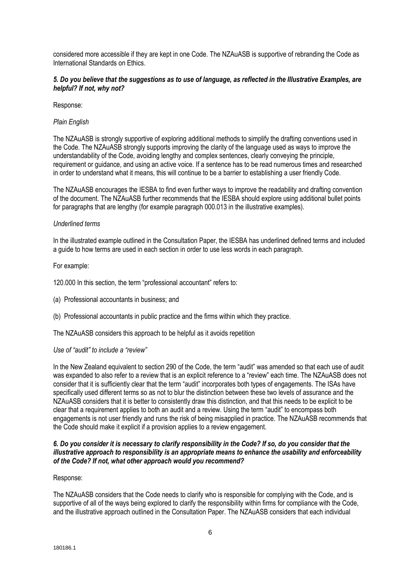considered more accessible if they are kept in one Code. The NZAuASB is supportive of rebranding the Code as International Standards on Ethics.

## *5. Do you believe that the suggestions as to use of language, as reflected in the Illustrative Examples, are helpful? If not, why not?*

Response:

### *Plain English*

The NZAuASB is strongly supportive of exploring additional methods to simplify the drafting conventions used in the Code. The NZAuASB strongly supports improving the clarity of the language used as ways to improve the understandability of the Code, avoiding lengthy and complex sentences, clearly conveying the principle, requirement or guidance, and using an active voice. If a sentence has to be read numerous times and researched in order to understand what it means, this will continue to be a barrier to establishing a user friendly Code.

The NZAuASB encourages the IESBA to find even further ways to improve the readability and drafting convention of the document. The NZAuASB further recommends that the IESBA should explore using additional bullet points for paragraphs that are lengthy (for example paragraph 000.013 in the illustrative examples).

## *Underlined terms*

In the illustrated example outlined in the Consultation Paper, the IESBA has underlined defined terms and included a guide to how terms are used in each section in order to use less words in each paragraph.

For example:

120.000 In this section, the term "professional accountant" refers to:

(a) Professional accountants in business; and

(b) Professional accountants in public practice and the firms within which they practice.

The NZAuASB considers this approach to be helpful as it avoids repetition

### *Use of "audit" to include a "review"*

In the New Zealand equivalent to section 290 of the Code, the term "audit" was amended so that each use of audit was expanded to also refer to a review that is an explicit reference to a "review" each time. The NZAuASB does not consider that it is sufficiently clear that the term "audit" incorporates both types of engagements. The ISAs have specifically used different terms so as not to blur the distinction between these two levels of assurance and the NZAuASB considers that it is better to consistently draw this distinction, and that this needs to be explicit to be clear that a requirement applies to both an audit and a review. Using the term "audit" to encompass both engagements is not user friendly and runs the risk of being misapplied in practice. The NZAuASB recommends that the Code should make it explicit if a provision applies to a review engagement.

## *6. Do you consider it is necessary to clarify responsibility in the Code? If so, do you consider that the illustrative approach to responsibility is an appropriate means to enhance the usability and enforceability of the Code? If not, what other approach would you recommend?*

### Response:

The NZAuASB considers that the Code needs to clarify who is responsible for complying with the Code, and is supportive of all of the ways being explored to clarify the responsibility within firms for compliance with the Code, and the illustrative approach outlined in the Consultation Paper. The NZAuASB considers that each individual